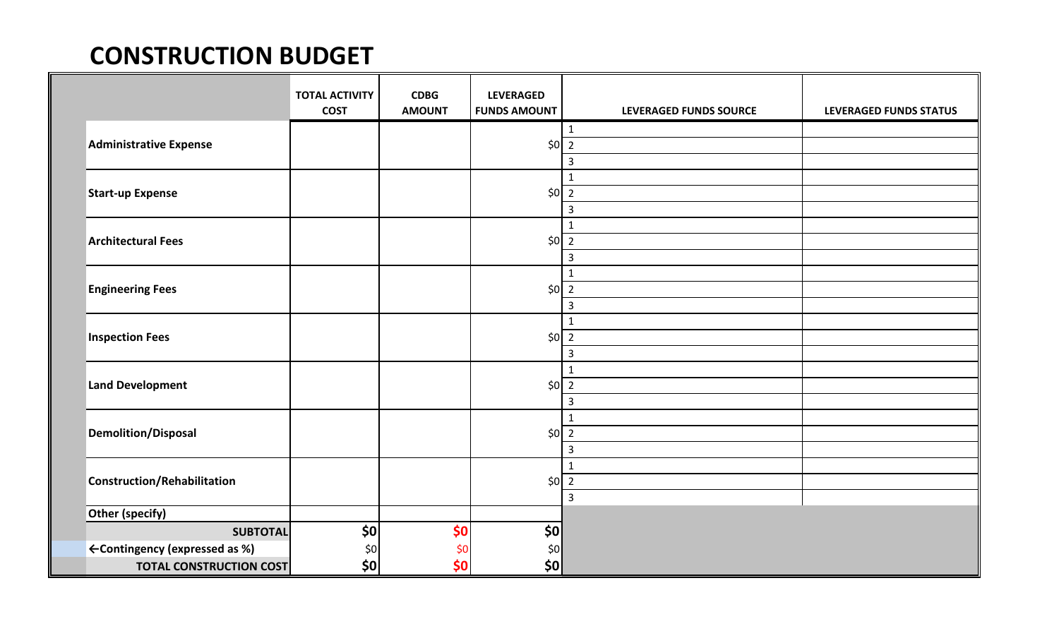## **CONSTRUCTION BUDGET**

|                                | <b>TOTAL ACTIVITY</b><br><b>COST</b> | <b>CDBG</b><br><b>AMOUNT</b> | <b>LEVERAGED</b><br><b>FUNDS AMOUNT</b> | LEVERAGED FUNDS SOURCE | LEVERAGED FUNDS STATUS |
|--------------------------------|--------------------------------------|------------------------------|-----------------------------------------|------------------------|------------------------|
| <b>Administrative Expense</b>  |                                      |                              |                                         | $\mathbf{1}$           |                        |
|                                |                                      |                              | $$0\overline{2}$                        |                        |                        |
|                                |                                      |                              |                                         | $\mathsf{3}$           |                        |
| <b>Start-up Expense</b>        |                                      |                              |                                         | $\mathbf{1}$           |                        |
|                                |                                      |                              | $$0\overline{2}$                        |                        |                        |
|                                |                                      |                              |                                         | $\overline{3}$         |                        |
|                                |                                      |                              | $$0\overline{2}$                        | $\mathbf{1}$           |                        |
| <b>Architectural Fees</b>      |                                      |                              |                                         |                        |                        |
|                                |                                      |                              |                                         | $\mathsf{3}$           |                        |
| <b>Engineering Fees</b>        |                                      |                              | $$0\overline{2}$                        | $\mathbf{1}$           |                        |
|                                |                                      |                              |                                         |                        |                        |
|                                |                                      |                              |                                         | $\overline{3}$         |                        |
| <b>Inspection Fees</b>         |                                      |                              |                                         | $\mathbf 1$            |                        |
|                                |                                      |                              | $$0\overline{2}$                        |                        |                        |
|                                |                                      |                              |                                         | $\mathsf{3}$           |                        |
| <b>Land Development</b>        |                                      |                              | $$0\overline{2}$                        | $\mathbf{1}$           |                        |
|                                |                                      |                              |                                         |                        |                        |
|                                |                                      |                              |                                         | $\mathbf{3}$           |                        |
| Demolition/Disposal            |                                      |                              | $$0\overline{2}$                        | $\mathbf 1$            |                        |
|                                |                                      |                              |                                         |                        |                        |
|                                |                                      |                              |                                         | $\mathsf{3}$           |                        |
| Construction/Rehabilitation    |                                      |                              |                                         | $\mathbf{1}$           |                        |
|                                |                                      |                              | $$0\overline{2}$                        |                        |                        |
|                                |                                      |                              |                                         | $\overline{3}$         |                        |
| Other (specify)                |                                      |                              |                                         |                        |                        |
| <b>SUBTOTAL</b>                | \$0                                  | \$0                          | \$0                                     |                        |                        |
| ← Contingency (expressed as %) | \$0                                  | \$0                          | $$0$                                    |                        |                        |
| <b>TOTAL CONSTRUCTION COST</b> | \$0                                  | \$0                          | \$0                                     |                        |                        |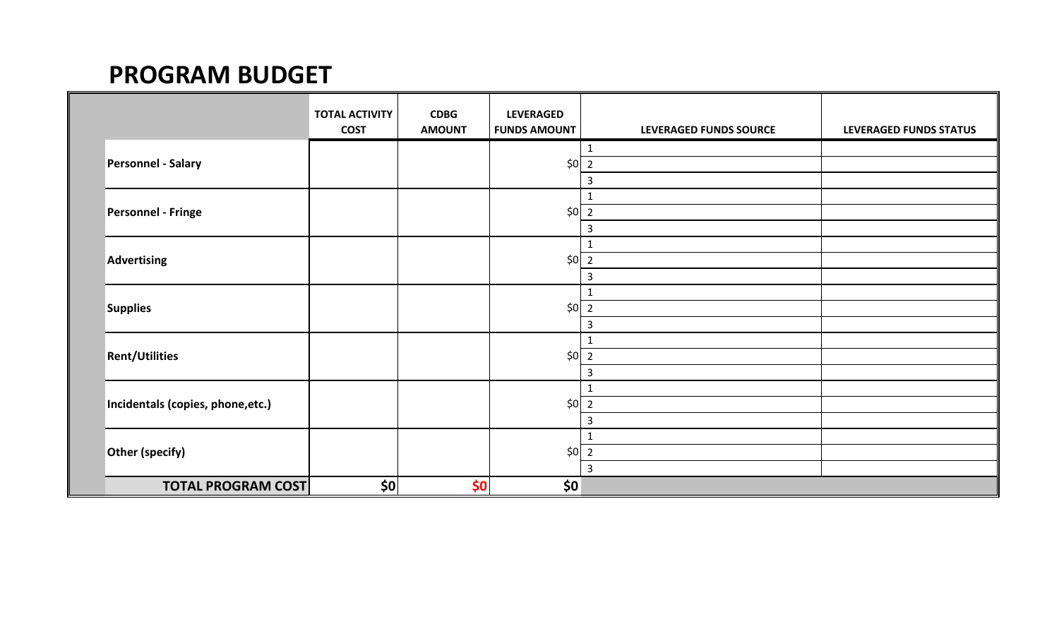## **PROGRAM BUDGET**

|                                   | <b>TOTAL ACTIVITY</b><br><b>COST</b> | CDBG<br><b>AMOUNT</b> | <b>LEVERAGED</b><br><b>FUNDS AMOUNT</b> | LEVERAGED FUNDS SOURCE | LEVERAGED FUNDS STATUS |
|-----------------------------------|--------------------------------------|-----------------------|-----------------------------------------|------------------------|------------------------|
| <b>Personnel - Salary</b>         |                                      |                       |                                         | $\mathbf{1}$           |                        |
|                                   |                                      |                       | $$0\overline{2}$                        |                        |                        |
|                                   |                                      |                       |                                         | 3                      |                        |
| <b>Personnel - Fringe</b>         |                                      |                       | $$0$   2                                | 1                      |                        |
|                                   |                                      |                       |                                         |                        |                        |
|                                   |                                      |                       |                                         | 3                      |                        |
| Advertising                       |                                      |                       | \$0                                     | 1<br>$\overline{2}$    |                        |
|                                   |                                      |                       |                                         | 3                      |                        |
| <b>Supplies</b>                   |                                      |                       | $\frac{1}{2}$                           | $\mathbf{1}$           |                        |
|                                   |                                      |                       |                                         |                        |                        |
|                                   |                                      |                       |                                         | 3                      |                        |
| <b>Rent/Utilities</b>             |                                      |                       | $$0$   2                                | $\mathbf{1}$           |                        |
|                                   |                                      |                       |                                         |                        |                        |
|                                   |                                      |                       |                                         | 3                      |                        |
| Incidentals (copies, phone, etc.) |                                      |                       | $$0\overline{2}$                        | $\mathbf{1}$           |                        |
|                                   |                                      |                       |                                         |                        |                        |
|                                   |                                      |                       |                                         | 3                      |                        |
| Other (specify)                   |                                      |                       | $$0$   2                                | $\mathbf{1}$           |                        |
|                                   |                                      |                       |                                         |                        |                        |
|                                   |                                      |                       |                                         | $\overline{3}$         |                        |
| <b>TOTAL PROGRAM COST</b>         | \$0                                  | \$0                   | \$0                                     |                        |                        |